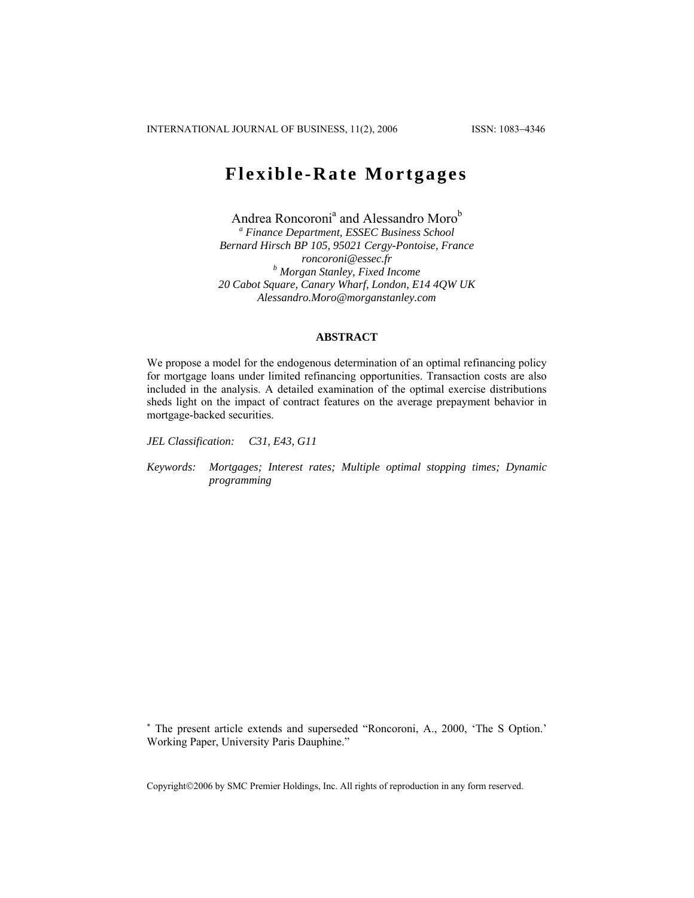# **Flexible-Rate Mortgages**

Andrea Roncoroni<sup>a</sup> and Alessandro Moro<sup>b</sup> *a Finance Department, ESSEC Business School Bernard Hirsch BP 105, 95021 Cergy-Pontoise, France roncoroni@essec.fr b Morgan Stanley, Fixed Income 20 Cabot Square, Canary Wharf, London, E14 4QW UK Alessandro.Moro@morganstanley.com* 

## **ABSTRACT**

We propose a model for the endogenous determination of an optimal refinancing policy for mortgage loans under limited refinancing opportunities. Transaction costs are also included in the analysis. A detailed examination of the optimal exercise distributions sheds light on the impact of contract features on the average prepayment behavior in mortgage-backed securities.

*JEL Classification: C31, E43, G11* 

*Keywords: Mortgages; Interest rates; Multiple optimal stopping times; Dynamic programming* 

∗ The present article extends and superseded "Roncoroni, A., 2000, 'The S Option.' Working Paper, University Paris Dauphine."

Copyright©2006 by SMC Premier Holdings, Inc. All rights of reproduction in any form reserved.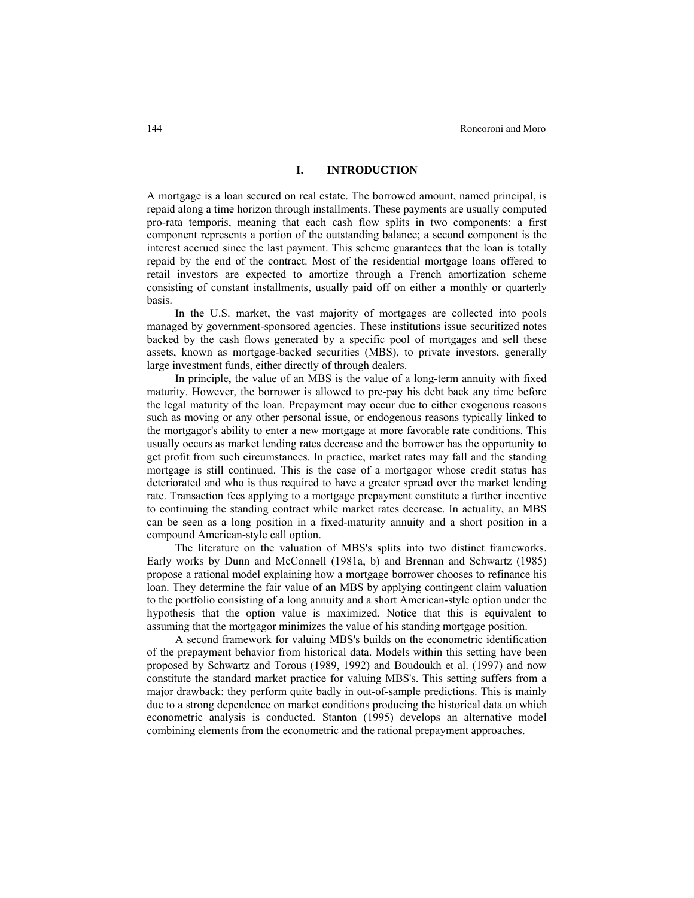## **I. INTRODUCTION**

A mortgage is a loan secured on real estate. The borrowed amount, named principal, is repaid along a time horizon through installments. These payments are usually computed pro-rata temporis, meaning that each cash flow splits in two components: a first component represents a portion of the outstanding balance; a second component is the interest accrued since the last payment. This scheme guarantees that the loan is totally repaid by the end of the contract. Most of the residential mortgage loans offered to retail investors are expected to amortize through a French amortization scheme consisting of constant installments, usually paid off on either a monthly or quarterly basis.

In the U.S. market, the vast majority of mortgages are collected into pools managed by government-sponsored agencies. These institutions issue securitized notes backed by the cash flows generated by a specific pool of mortgages and sell these assets, known as mortgage-backed securities (MBS), to private investors, generally large investment funds, either directly of through dealers.

In principle, the value of an MBS is the value of a long-term annuity with fixed maturity. However, the borrower is allowed to pre-pay his debt back any time before the legal maturity of the loan. Prepayment may occur due to either exogenous reasons such as moving or any other personal issue, or endogenous reasons typically linked to the mortgagor's ability to enter a new mortgage at more favorable rate conditions. This usually occurs as market lending rates decrease and the borrower has the opportunity to get profit from such circumstances. In practice, market rates may fall and the standing mortgage is still continued. This is the case of a mortgagor whose credit status has deteriorated and who is thus required to have a greater spread over the market lending rate. Transaction fees applying to a mortgage prepayment constitute a further incentive to continuing the standing contract while market rates decrease. In actuality, an MBS can be seen as a long position in a fixed-maturity annuity and a short position in a compound American-style call option.

The literature on the valuation of MBS's splits into two distinct frameworks. Early works by Dunn and McConnell (1981a, b) and Brennan and Schwartz (1985) propose a rational model explaining how a mortgage borrower chooses to refinance his loan. They determine the fair value of an MBS by applying contingent claim valuation to the portfolio consisting of a long annuity and a short American-style option under the hypothesis that the option value is maximized. Notice that this is equivalent to assuming that the mortgagor minimizes the value of his standing mortgage position.

A second framework for valuing MBS's builds on the econometric identification of the prepayment behavior from historical data. Models within this setting have been proposed by Schwartz and Torous (1989, 1992) and Boudoukh et al. (1997) and now constitute the standard market practice for valuing MBS's. This setting suffers from a major drawback: they perform quite badly in out-of-sample predictions. This is mainly due to a strong dependence on market conditions producing the historical data on which econometric analysis is conducted. Stanton (1995) develops an alternative model combining elements from the econometric and the rational prepayment approaches.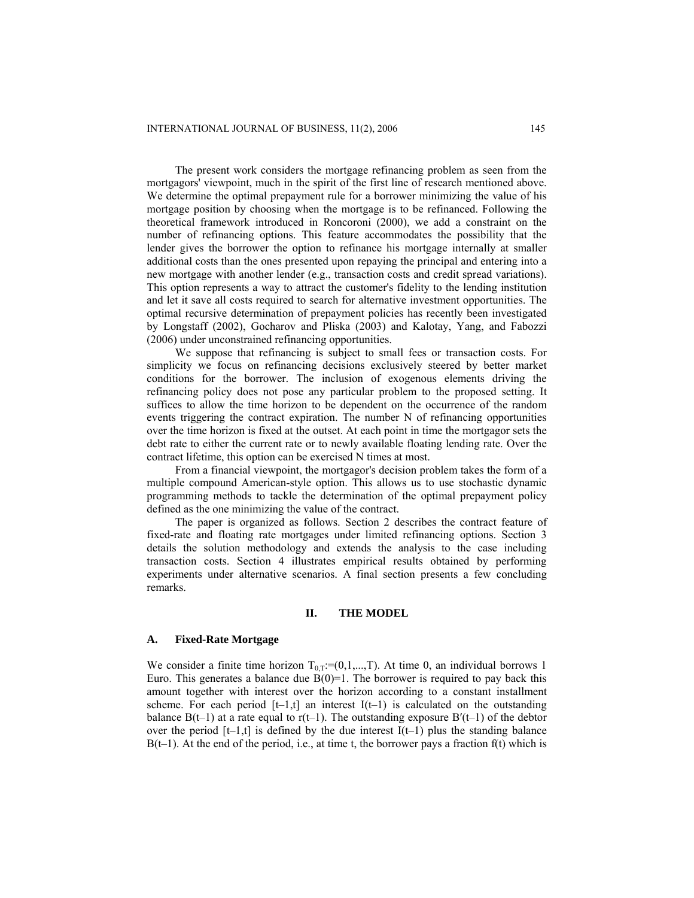The present work considers the mortgage refinancing problem as seen from the mortgagors' viewpoint, much in the spirit of the first line of research mentioned above. We determine the optimal prepayment rule for a borrower minimizing the value of his mortgage position by choosing when the mortgage is to be refinanced. Following the theoretical framework introduced in Roncoroni (2000), we add a constraint on the number of refinancing options. This feature accommodates the possibility that the lender gives the borrower the option to refinance his mortgage internally at smaller additional costs than the ones presented upon repaying the principal and entering into a new mortgage with another lender (e.g., transaction costs and credit spread variations). This option represents a way to attract the customer's fidelity to the lending institution and let it save all costs required to search for alternative investment opportunities. The optimal recursive determination of prepayment policies has recently been investigated by Longstaff (2002), Gocharov and Pliska (2003) and Kalotay, Yang, and Fabozzi (2006) under unconstrained refinancing opportunities.

We suppose that refinancing is subject to small fees or transaction costs. For simplicity we focus on refinancing decisions exclusively steered by better market conditions for the borrower. The inclusion of exogenous elements driving the refinancing policy does not pose any particular problem to the proposed setting. It suffices to allow the time horizon to be dependent on the occurrence of the random events triggering the contract expiration. The number N of refinancing opportunities over the time horizon is fixed at the outset. At each point in time the mortgagor sets the debt rate to either the current rate or to newly available floating lending rate. Over the contract lifetime, this option can be exercised N times at most.

From a financial viewpoint, the mortgagor's decision problem takes the form of a multiple compound American-style option. This allows us to use stochastic dynamic programming methods to tackle the determination of the optimal prepayment policy defined as the one minimizing the value of the contract.

The paper is organized as follows. Section 2 describes the contract feature of fixed-rate and floating rate mortgages under limited refinancing options. Section 3 details the solution methodology and extends the analysis to the case including transaction costs. Section 4 illustrates empirical results obtained by performing experiments under alternative scenarios. A final section presents a few concluding remarks.

#### **II. THE MODEL**

#### **A. Fixed-Rate Mortgage**

We consider a finite time horizon  $T_{0,T}=(0,1,...,T)$ . At time 0, an individual borrows 1 Euro. This generates a balance due  $B(0)=1$ . The borrower is required to pay back this amount together with interest over the horizon according to a constant installment scheme. For each period  $[t-1,t]$  an interest  $I(t-1)$  is calculated on the outstanding balance  $B(t-1)$  at a rate equal to r(t–1). The outstanding exposure  $B'(t-1)$  of the debtor over the period  $[t-1,t]$  is defined by the due interest  $I(t-1)$  plus the standing balance  $B(t-1)$ . At the end of the period, i.e., at time t, the borrower pays a fraction f(t) which is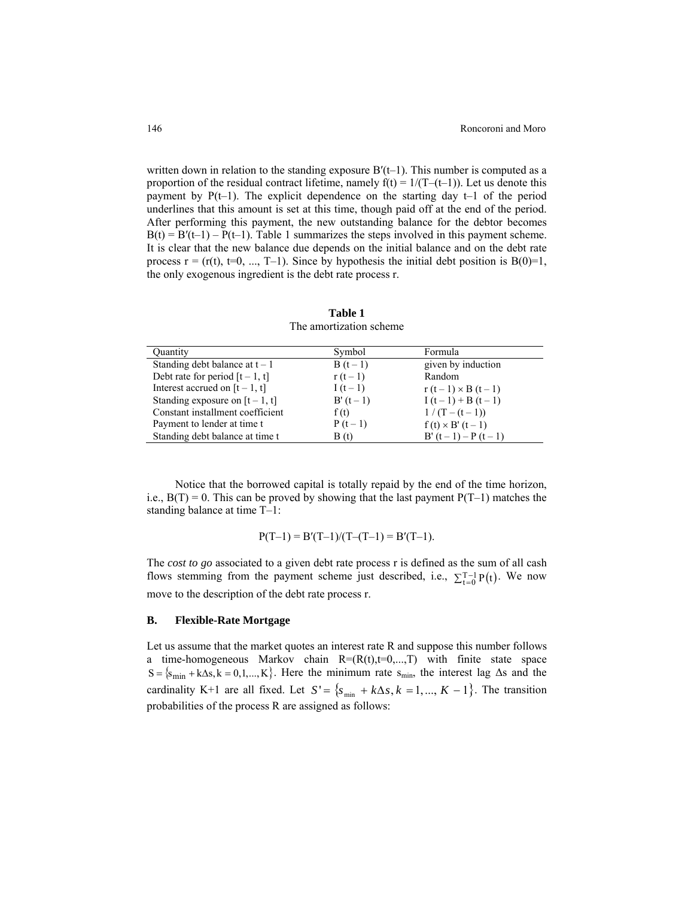written down in relation to the standing exposure  $B'(t-1)$ . This number is computed as a proportion of the residual contract lifetime, namely  $f(t) = 1/(T-(t-1))$ . Let us denote this payment by  $P(t-1)$ . The explicit dependence on the starting day  $t-1$  of the period underlines that this amount is set at this time, though paid off at the end of the period. After performing this payment, the new outstanding balance for the debtor becomes  $B(t) = B'(t-1) - P(t-1)$ . Table 1 summarizes the steps involved in this payment scheme. It is clear that the new balance due depends on the initial balance and on the debt rate process  $r = (r(t), t=0, ..., T-1)$ . Since by hypothesis the initial debt position is  $B(0)=1$ , the only exogenous ingredient is the debt rate process r.

| <b>Ouantity</b>                   | Symbol    | Formula                |
|-----------------------------------|-----------|------------------------|
| Standing debt balance at $t - 1$  | $B(t-1)$  | given by induction     |
| Debt rate for period $[t - 1, t]$ | $r(t-1)$  | Random                 |
| Interest accrued on $[t - 1, t]$  | I $(t-1)$ | $r(t-1) \times B(t-1)$ |
| Standing exposure on $[t - 1, t]$ | $B'(t-1)$ | $I(t-1) + B(t-1)$      |
| Constant installment coefficient  | f(t)      | $1/(T-(t-1))$          |
| Payment to lender at time t       | $P(t-1)$  | $f(t) \times B'(t-1)$  |
| Standing debt balance at time t   | B(t)      | $B'(t-1) - P(t-1)$     |

**Table 1** The amortization scheme

Notice that the borrowed capital is totally repaid by the end of the time horizon, i.e.,  $B(T) = 0$ . This can be proved by showing that the last payment  $P(T-1)$  matches the standing balance at time T–1:

$$
P(T-1) = B'(T-1)/(T-(T-1)) = B'(T-1).
$$

The *cost to go* associated to a given debt rate process r is defined as the sum of all cash flows stemming from the payment scheme just described, i.e.,  $\sum_{t=0}^{T-1} P(t)$ . We now move to the description of the debt rate process r.

#### **B. Flexible-Rate Mortgage**

Let us assume that the market quotes an interest rate R and suppose this number follows a time-homogeneous Markov chain  $R=(R(t),t=0,...,T)$  with finite state space  $S = {s_{min} + k\Delta s, k = 0, 1, ..., K}$ . Here the minimum rate  $s_{min}$ , the interest lag  $\Delta s$  and the cardinality K+1 are all fixed. Let  $S' = \{s_{\min} + k\Delta s, k = 1, ..., K - 1\}$ . The transition probabilities of the process R are assigned as follows: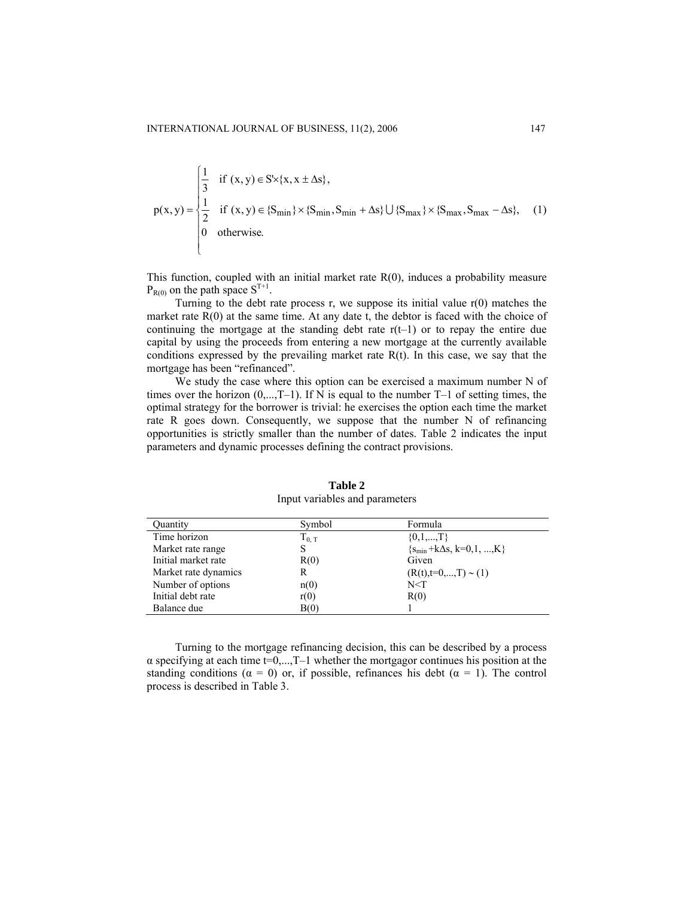$\epsilon$ 

$$
p(x, y) = \begin{cases} \frac{1}{3} & \text{if } (x, y) \in S \times \{x, x \pm \Delta s\}, \\ \frac{1}{2} & \text{if } (x, y) \in \{S_{\min}\} \times \{S_{\min}, S_{\min} + \Delta s\} \cup \{S_{\max}\} \times \{S_{\max}, S_{\max} - \Delta s\}, \\ 0 & \text{otherwise.} \end{cases}
$$
(1)

This function, coupled with an initial market rate R(0), induces a probability measure  $P_{R(0)}$  on the path space  $S^{T+1}$ .

Turning to the debt rate process r, we suppose its initial value  $r(0)$  matches the market rate  $R(0)$  at the same time. At any date t, the debtor is faced with the choice of continuing the mortgage at the standing debt rate  $r(t-1)$  or to repay the entire due capital by using the proceeds from entering a new mortgage at the currently available conditions expressed by the prevailing market rate  $R(t)$ . In this case, we say that the mortgage has been "refinanced".

We study the case where this option can be exercised a maximum number N of times over the horizon  $(0,...,T-1)$ . If N is equal to the number  $T-1$  of setting times, the optimal strategy for the borrower is trivial: he exercises the option each time the market rate R goes down. Consequently, we suppose that the number N of refinancing opportunities is strictly smaller than the number of dates. Table 2 indicates the input parameters and dynamic processes defining the contract provisions.

| <b>Ouantity</b>      | Symbol     | Formula                          |
|----------------------|------------|----------------------------------|
| Time horizon         | $T_{0, T}$ | $\{0,1,,T\}$                     |
| Market rate range    | S          | ${s_{\min}}+k\Delta s, k=0,1,,K$ |
| Initial market rate  | R(0)       | Given                            |
| Market rate dynamics | R          | $(R(t), t=0,,T) \sim (1)$        |
| Number of options    | n(0)       | N < T                            |
| Initial debt rate    | r(0)       | R(0)                             |
| Balance due          | B(0)       |                                  |

**Table 2** Input variables and parameters

Turning to the mortgage refinancing decision, this can be described by a process  $\alpha$  specifying at each time t=0,...,T-1 whether the mortgagor continues his position at the standing conditions ( $\alpha = 0$ ) or, if possible, refinances his debt ( $\alpha = 1$ ). The control process is described in Table 3.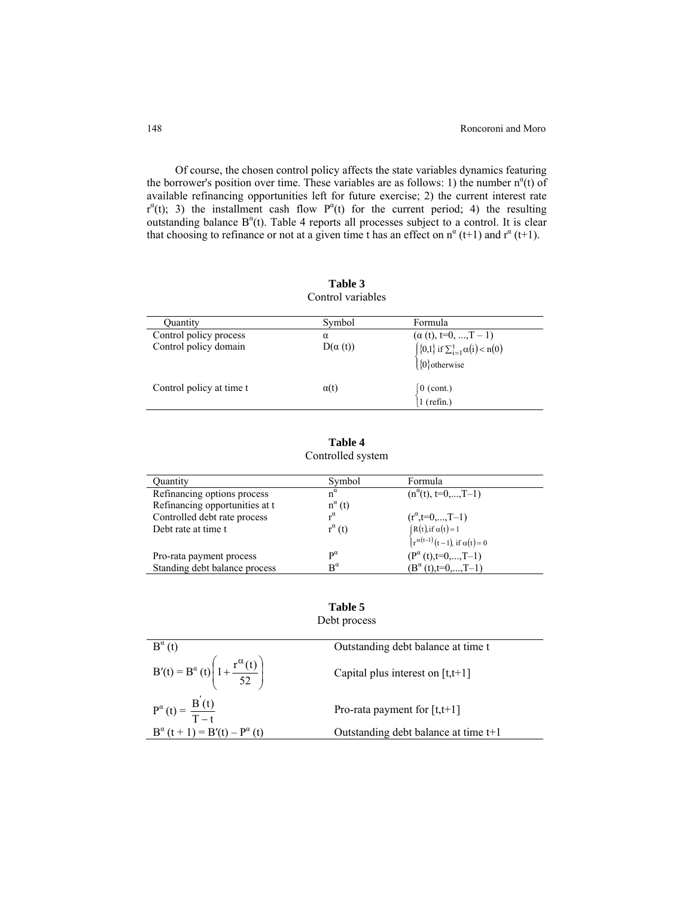Of course, the chosen control policy affects the state variables dynamics featuring the borrower's position over time. These variables are as follows: 1) the number  $n^{\alpha}(t)$  of available refinancing opportunities left for future exercise; 2) the current interest rate  $r^{\alpha}(t)$ ; 3) the installment cash flow  $P^{\alpha}(t)$  for the current period; 4) the resulting outstanding balance  $B^{\alpha}(t)$ . Table 4 reports all processes subject to a control. It is clear that choosing to refinance or not at a given time t has an effect on  $n^{\alpha}$  (t+1) and  $r^{\alpha}$  (t+1).

|                          | Control variables |                                                                                                |
|--------------------------|-------------------|------------------------------------------------------------------------------------------------|
| <b>Ouantity</b>          | Symbol            | Formula                                                                                        |
| Control policy process   | α                 |                                                                                                |
| Control policy domain    | $D(\alpha(t))$    | ( $\alpha$ (t), t=0, , T - 1)<br>{{0,1} if $\sum_{i=1}^{t} \alpha(i) < n(0)$<br>{{0} otherwise |
| Control policy at time t | $\alpha(t)$       | [0 (cont.)<br> 1 (refin.)                                                                      |

**Table 3** 

| Table 4           |  |
|-------------------|--|
| Controlled system |  |

| Ouantity                       | Symbol                | Formula                                                                                                      |
|--------------------------------|-----------------------|--------------------------------------------------------------------------------------------------------------|
| Refinancing options process    | $n^{\alpha}$          | $(n^{\alpha}(t), t=0,,T-1)$                                                                                  |
| Refinancing opportunities at t | $n^{\alpha}(t)$       |                                                                                                              |
| Controlled debt rate process   | $\mathbf{r}^{\alpha}$ | $(r^{\alpha}, t=0,,T-1)$                                                                                     |
| Debt rate at time t            | $r^{\alpha}(t)$       |                                                                                                              |
|                                |                       | $\begin{cases} R(t), \text{if } \alpha(t) = 1 \\ r^{\alpha(t-1)}(t-1), \text{if } \alpha(t) = 0 \end{cases}$ |
| Pro-rata payment process       | $\mathbf{p}^{\alpha}$ | $(P^{\alpha}(t), t=0,,T-1)$                                                                                  |
| Standing debt balance process  | $\mathbf{R}^{\alpha}$ | $(B^{\alpha}(t), t=0, , T-1)$                                                                                |

## **Table 5**

Debt process

| $B^{\alpha}(t)$                                                     | Outstanding debt balance at time t     |
|---------------------------------------------------------------------|----------------------------------------|
| $B'(t) = B^{\alpha}(t) \left( 1 + \frac{r^{\alpha}(t)}{52} \right)$ | Capital plus interest on $[t, t+1]$    |
| $P^{\alpha}(t) = \frac{B'(t)}{T-t}$                                 | Pro-rata payment for $[t,t+1]$         |
| $B^{\alpha} (t + 1) = B'(t) - P^{\alpha} (t)$                       | Outstanding debt balance at time $t+1$ |
|                                                                     |                                        |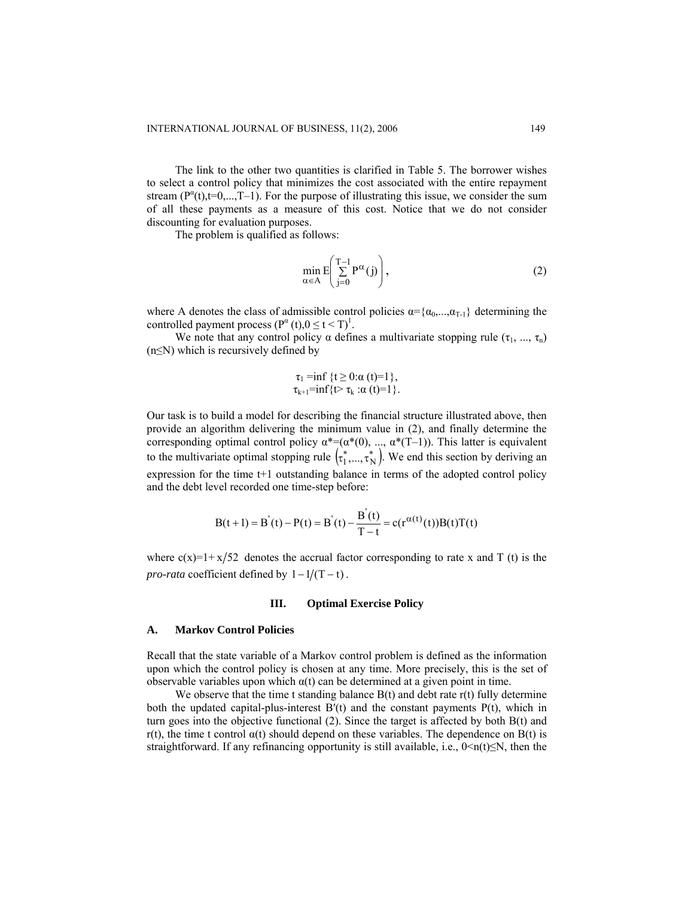The link to the other two quantities is clarified in Table 5. The borrower wishes to select a control policy that minimizes the cost associated with the entire repayment stream  $(P^{\alpha}(t), t=0,...,T-1)$ . For the purpose of illustrating this issue, we consider the sum of all these payments as a measure of this cost. Notice that we do not consider discounting for evaluation purposes.

The problem is qualified as follows:

$$
\min_{\alpha \in A} E\left(\sum_{j=0}^{T-1} P^{\alpha}(j)\right),\tag{2}
$$

where A denotes the class of admissible control policies  $\alpha = {\alpha_0, ..., \alpha_{T-1}}$  determining the controlled payment process  $(P^{\alpha}(t), 0 \le t < T)^{1}$ .

We note that any control policy  $\alpha$  defines a multivariate stopping rule  $(\tau_1, ..., \tau_n)$  $(n \leq N)$  which is recursively defined by

$$
\tau_1 = \inf \{ t \ge 0 : \alpha (t) = 1 \},
$$
  
\n
$$
\tau_{k+1} = \inf \{ t > \tau_k : \alpha (t) = 1 \}.
$$

Our task is to build a model for describing the financial structure illustrated above, then provide an algorithm delivering the minimum value in (2), and finally determine the corresponding optimal control policy  $\alpha^*=(\alpha^*(0), \ldots, \alpha^*(T-1))$ . This latter is equivalent to the multivariate optimal stopping rule  $\left(\tau_1^*,...,\tau_N^*\right)$ . We end this section by deriving an expression for the time t+1 outstanding balance in terms of the adopted control policy and the debt level recorded one time-step before:

$$
B(t+1) = B^{'}(t) - P(t) = B^{'}(t) - \frac{B^{'}(t)}{T-t} = c(r^{\alpha(t)}(t))B(t)T(t)
$$

where  $c(x)=1+x/52$  denotes the accrual factor corresponding to rate x and T (t) is the *pro-rata* coefficient defined by  $1 - 1/(T - t)$ .

#### **III. Optimal Exercise Policy**

## **A. Markov Control Policies**

Recall that the state variable of a Markov control problem is defined as the information upon which the control policy is chosen at any time. More precisely, this is the set of observable variables upon which α(t) can be determined at a given point in time.

We observe that the time t standing balance  $B(t)$  and debt rate  $r(t)$  fully determine both the updated capital-plus-interest  $B'(t)$  and the constant payments  $P(t)$ , which in turn goes into the objective functional (2). Since the target is affected by both B(t) and r(t), the time t control  $\alpha(t)$  should depend on these variables. The dependence on B(t) is straightforward. If any refinancing opportunity is still available, i.e.,  $0 \le n(t) \le N$ , then the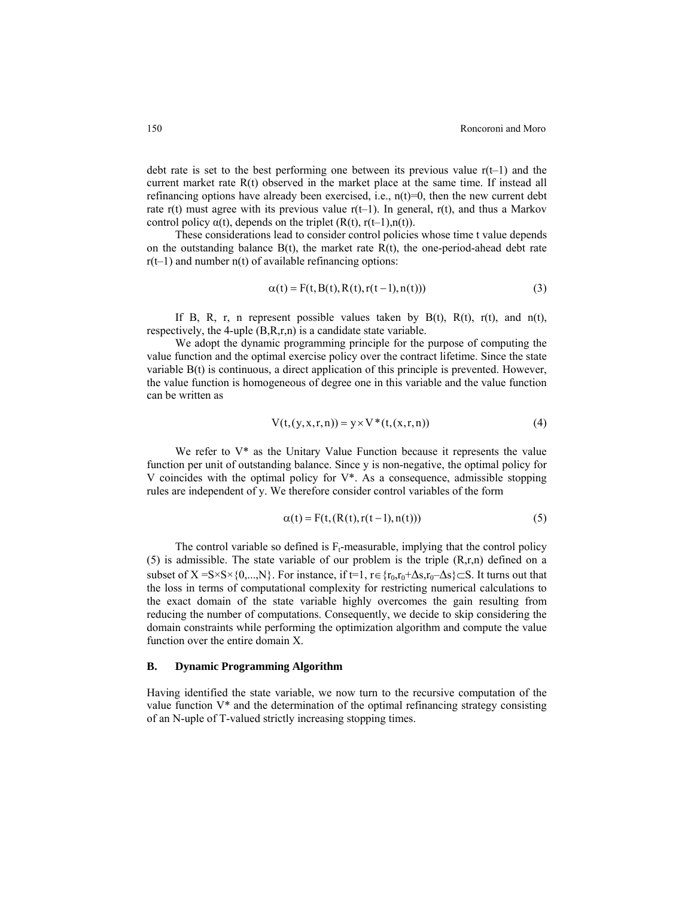debt rate is set to the best performing one between its previous value  $r(t-1)$  and the current market rate  $R(t)$  observed in the market place at the same time. If instead all refinancing options have already been exercised, i.e.,  $n(t)=0$ , then the new current debt rate r(t) must agree with its previous value  $r(t-1)$ . In general,  $r(t)$ , and thus a Markov control policy  $\alpha(t)$ , depends on the triplet  $(R(t), r(t-1), n(t))$ .

These considerations lead to consider control policies whose time t value depends on the outstanding balance  $B(t)$ , the market rate  $R(t)$ , the one-period-ahead debt rate  $r(t-1)$  and number  $n(t)$  of available refinancing options:

$$
\alpha(t) = F(t, B(t), R(t), r(t-1), n(t)))
$$
\n(3)

If B, R, r, n represent possible values taken by B(t), R(t), r(t), and n(t), respectively, the 4-uple (B,R,r,n) is a candidate state variable.

We adopt the dynamic programming principle for the purpose of computing the value function and the optimal exercise policy over the contract lifetime. Since the state variable B(t) is continuous, a direct application of this principle is prevented. However, the value function is homogeneous of degree one in this variable and the value function can be written as

$$
V(t, (y, x, r, n)) = y \times V^*(t, (x, r, n))
$$
\n(4)

We refer to  $V^*$  as the Unitary Value Function because it represents the value function per unit of outstanding balance. Since y is non-negative, the optimal policy for V coincides with the optimal policy for V\*. As a consequence, admissible stopping rules are independent of y. We therefore consider control variables of the form

$$
\alpha(t) = F(t, (R(t), r(t-1), n(t)))\tag{5}
$$

The control variable so defined is  $F_t$ -measurable, implying that the control policy (5) is admissible. The state variable of our problem is the triple  $(R,r,n)$  defined on a subset of  $X = S \times S \times \{0,...,N\}$ . For instance, if t=1, r∈{r<sub>0</sub>,r<sub>0</sub>+∆s,r<sub>0</sub>-∆s}⊂S. It turns out that the loss in terms of computational complexity for restricting numerical calculations to the exact domain of the state variable highly overcomes the gain resulting from reducing the number of computations. Consequently, we decide to skip considering the domain constraints while performing the optimization algorithm and compute the value function over the entire domain X.

## **B. Dynamic Programming Algorithm**

Having identified the state variable, we now turn to the recursive computation of the value function V\* and the determination of the optimal refinancing strategy consisting of an N-uple of T-valued strictly increasing stopping times.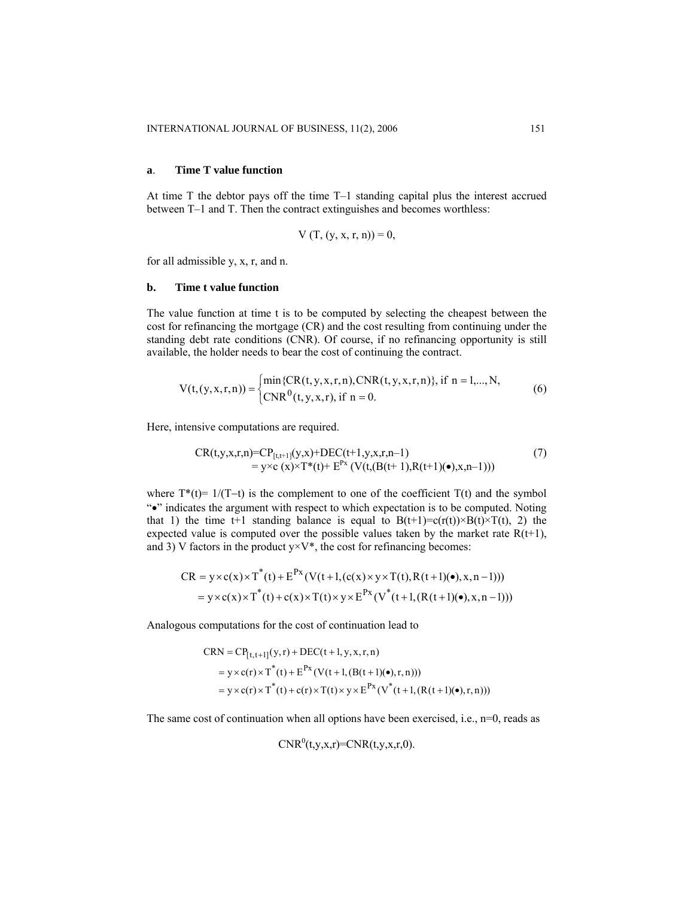#### **a**. **Time T value function**

At time T the debtor pays off the time T–1 standing capital plus the interest accrued between T–1 and T. Then the contract extinguishes and becomes worthless:

$$
V(T, (y, x, r, n)) = 0,
$$

for all admissible y, x, r, and n.

#### **b. Time t value function**

The value function at time t is to be computed by selecting the cheapest between the cost for refinancing the mortgage (CR) and the cost resulting from continuing under the standing debt rate conditions (CNR). Of course, if no refinancing opportunity is still available, the holder needs to bear the cost of continuing the contract.

$$
V(t,(y,x,r,n)) = \begin{cases} \min\{CR(t,y,x,r,n), CNR(t,y,x,r,n)\}, \text{ if } n = 1,...,N, \\ CNR^{0}(t,y,x,r), \text{ if } n = 0. \end{cases}
$$
(6)

Here, intensive computations are required.

$$
CR(t,y,x,r,n)=CP_{[t,t+1]}(y,x)+DEC(t+1,y,x,r,n-1)
$$
  
=  $y \times c(x) \times T^*(t)+E^{Px} (V(t,(B(t+1),R(t+1)(•),x,n-1)))$  (7)

where  $T^*(t) = 1/(T-t)$  is the complement to one of the coefficient T(t) and the symbol "•" indicates the argument with respect to which expectation is to be computed. Noting that 1) the time t+1 standing balance is equal to  $B(t+1)=c(r(t))\times B(t)\times T(t)$ , 2) the expected value is computed over the possible values taken by the market rate  $R(t+1)$ , and 3) V factors in the product  $y \times V^*$ , the cost for refinancing becomes:

$$
CR = y \times c(x) \times T^*(t) + E^{Px} (V(t+1, (c(x) \times y \times T(t), R(t+1)(•), x, n-1)))
$$
  
=  $y \times c(x) \times T^*(t) + c(x) \times T(t) \times y \times E^{Px} (V^*(t+1, (R(t+1)(•), x, n-1))))$ 

Analogous computations for the cost of continuation lead to

$$
CRN = CP_{[t,t+1]}(y,r) + DEC(t+1, y, x, r, n)
$$
  
=  $y \times c(r) \times T^*(t) + E^{Px}(V(t+1, (B(t+1)(•), r, n)))$   
=  $y \times c(r) \times T^*(t) + c(r) \times T(t) \times y \times E^{Px}(V^*(t+1, (R(t+1)(•), r, n)))$ 

The same cost of continuation when all options have been exercised, i.e., n=0, reads as

$$
CNR^{0}(t,y,x,r)=CNR(t,y,x,r,0).
$$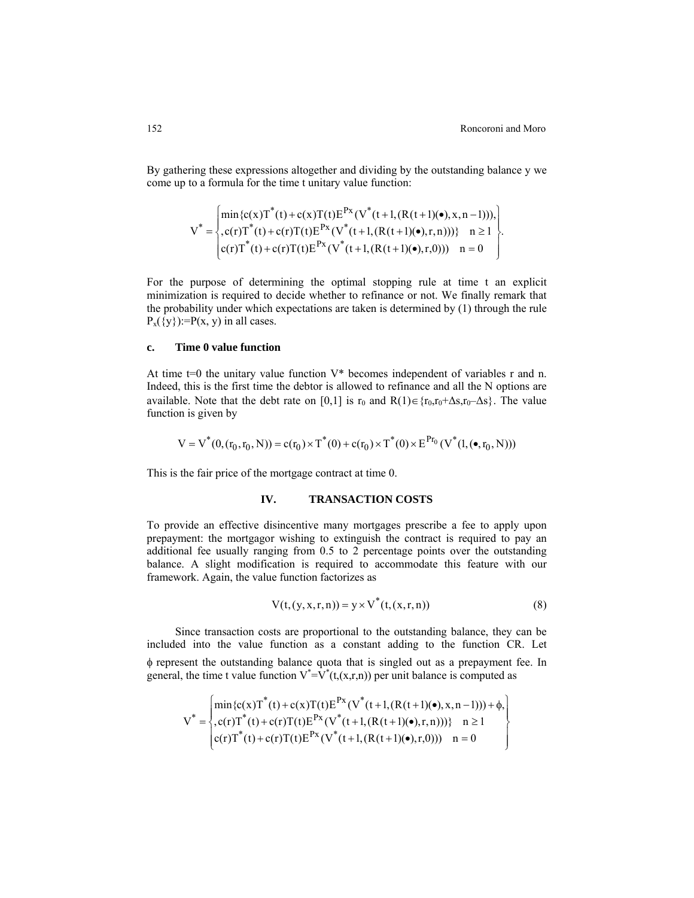By gathering these expressions altogether and dividing by the outstanding balance y we come up to a formula for the time t unitary value function:

$$
V^* = \begin{cases} \min\{c(x)T^*(t) + c(x)T(t)E^{Px}(V^*(t+1,(R(t+1)(•),x,n-1))),\\ c(r)T^*(t) + c(r)T(t)E^{Px}(V^*(t+1,(R(t+1)(•),r,n))))\} & n \ge 1\\ c(r)T^*(t) + c(r)T(t)E^{Px}(V^*(t+1,(R(t+1)(•),r,0))) & n = 0 \end{cases}.
$$

For the purpose of determining the optimal stopping rule at time t an explicit minimization is required to decide whether to refinance or not. We finally remark that the probability under which expectations are taken is determined by (1) through the rule  $P_x({y}):=P(x, y)$  in all cases.

#### **c. Time 0 value function**

At time  $t=0$  the unitary value function  $V^*$  becomes independent of variables r and n. Indeed, this is the first time the debtor is allowed to refinance and all the N options are available. Note that the debt rate on [0,1] is r<sub>0</sub> and R(1)∈{r<sub>0</sub>,r<sub>0</sub>+∆s,r<sub>0</sub>-∆s}. The value function is given by

$$
V = V^*(0, (r_0, r_0, N)) = c(r_0) \times T^*(0) + c(r_0) \times T^*(0) \times E^{Pr_0}(V^*(1, (\bullet, r_0, N)))
$$

This is the fair price of the mortgage contract at time 0.

## **IV. TRANSACTION COSTS**

To provide an effective disincentive many mortgages prescribe a fee to apply upon prepayment: the mortgagor wishing to extinguish the contract is required to pay an additional fee usually ranging from 0.5 to 2 percentage points over the outstanding balance. A slight modification is required to accommodate this feature with our framework. Again, the value function factorizes as

$$
V(t, (y, x, r, n)) = y \times V^*(t, (x, r, n))
$$
\n(8)

Since transaction costs are proportional to the outstanding balance, they can be included into the value function as a constant adding to the function CR. Let φ represent the outstanding balance quota that is singled out as a prepayment fee. In general, the time t value function  $V^* = V^*(t, (x, r, n))$  per unit balance is computed as

$$
V^* = \begin{cases} \min\{c(x)T^*(t) + c(x)T(t)E^{Px}(V^*(t+1,(R(t+1)(•),x,n-1))) + \phi, \\ c(r)T^*(t) + c(r)T(t)E^{Px}(V^*(t+1,(R(t+1)(•),r,n)))) \} & n \ge 1 \\ c(r)T^*(t) + c(r)T(t)E^{Px}(V^*(t+1,(R(t+1)(•),r,0))) & n = 0 \end{cases}
$$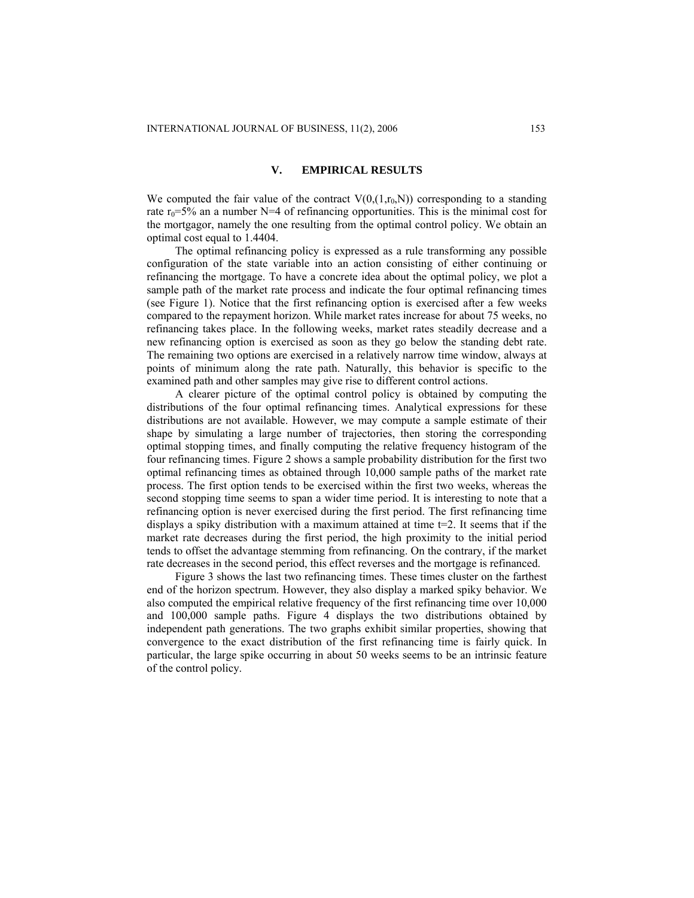## **V. EMPIRICAL RESULTS**

We computed the fair value of the contract  $V(0,(1,r_0,N))$  corresponding to a standing rate  $r_0 = 5\%$  an a number N=4 of refinancing opportunities. This is the minimal cost for the mortgagor, namely the one resulting from the optimal control policy. We obtain an optimal cost equal to 1.4404.

The optimal refinancing policy is expressed as a rule transforming any possible configuration of the state variable into an action consisting of either continuing or refinancing the mortgage. To have a concrete idea about the optimal policy, we plot a sample path of the market rate process and indicate the four optimal refinancing times (see Figure 1). Notice that the first refinancing option is exercised after a few weeks compared to the repayment horizon. While market rates increase for about 75 weeks, no refinancing takes place. In the following weeks, market rates steadily decrease and a new refinancing option is exercised as soon as they go below the standing debt rate. The remaining two options are exercised in a relatively narrow time window, always at points of minimum along the rate path. Naturally, this behavior is specific to the examined path and other samples may give rise to different control actions.

A clearer picture of the optimal control policy is obtained by computing the distributions of the four optimal refinancing times. Analytical expressions for these distributions are not available. However, we may compute a sample estimate of their shape by simulating a large number of trajectories, then storing the corresponding optimal stopping times, and finally computing the relative frequency histogram of the four refinancing times. Figure 2 shows a sample probability distribution for the first two optimal refinancing times as obtained through 10,000 sample paths of the market rate process. The first option tends to be exercised within the first two weeks, whereas the second stopping time seems to span a wider time period. It is interesting to note that a refinancing option is never exercised during the first period. The first refinancing time displays a spiky distribution with a maximum attained at time  $t=2$ . It seems that if the market rate decreases during the first period, the high proximity to the initial period tends to offset the advantage stemming from refinancing. On the contrary, if the market rate decreases in the second period, this effect reverses and the mortgage is refinanced.

Figure 3 shows the last two refinancing times. These times cluster on the farthest end of the horizon spectrum. However, they also display a marked spiky behavior. We also computed the empirical relative frequency of the first refinancing time over 10,000 and 100,000 sample paths. Figure 4 displays the two distributions obtained by independent path generations. The two graphs exhibit similar properties, showing that convergence to the exact distribution of the first refinancing time is fairly quick. In particular, the large spike occurring in about 50 weeks seems to be an intrinsic feature of the control policy.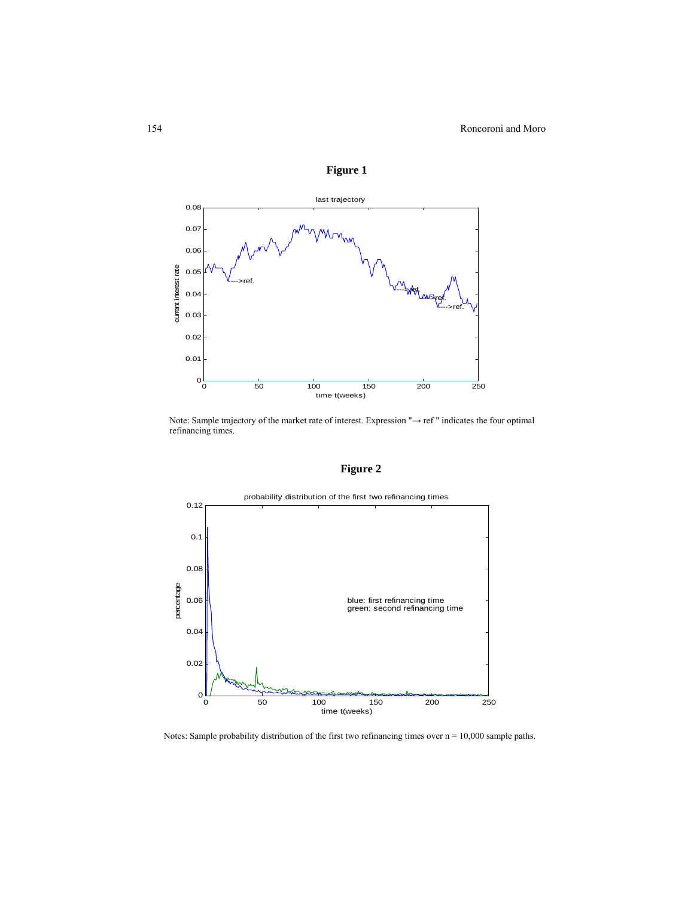

**Figure 1** 

Note: Sample trajectory of the market rate of interest. Expression "→ ref " indicates the four optimal refinancing times.

## **Figure 2**



Notes: Sample probability distribution of the first two refinancing times over  $n = 10,000$  sample paths.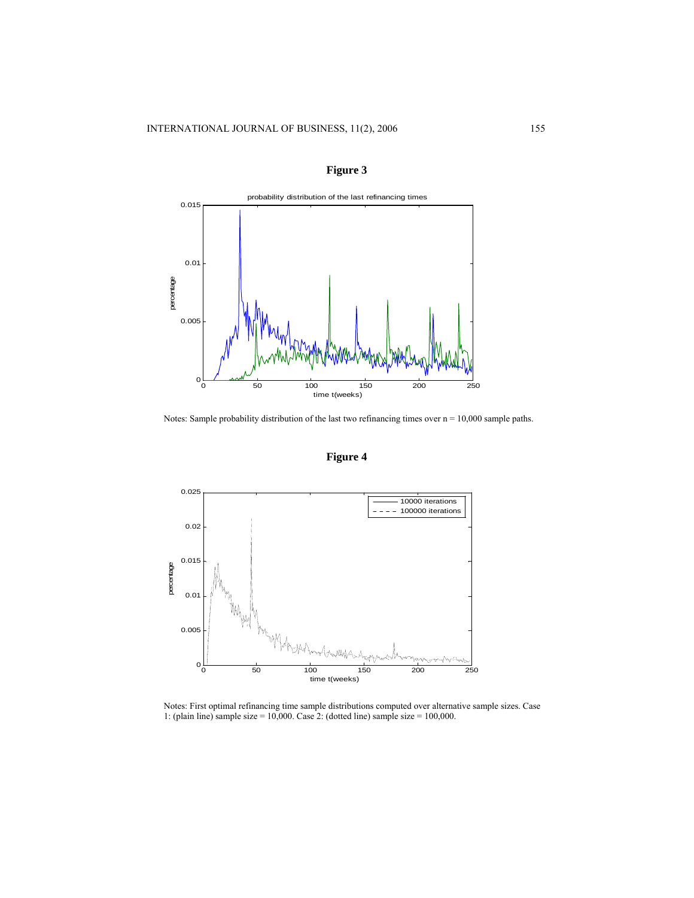



Notes: Sample probability distribution of the last two refinancing times over  $n = 10,000$  sample paths.





Notes: First optimal refinancing time sample distributions computed over alternative sample sizes. Case 1: (plain line) sample size = 10,000. Case 2: (dotted line) sample size = 100,000.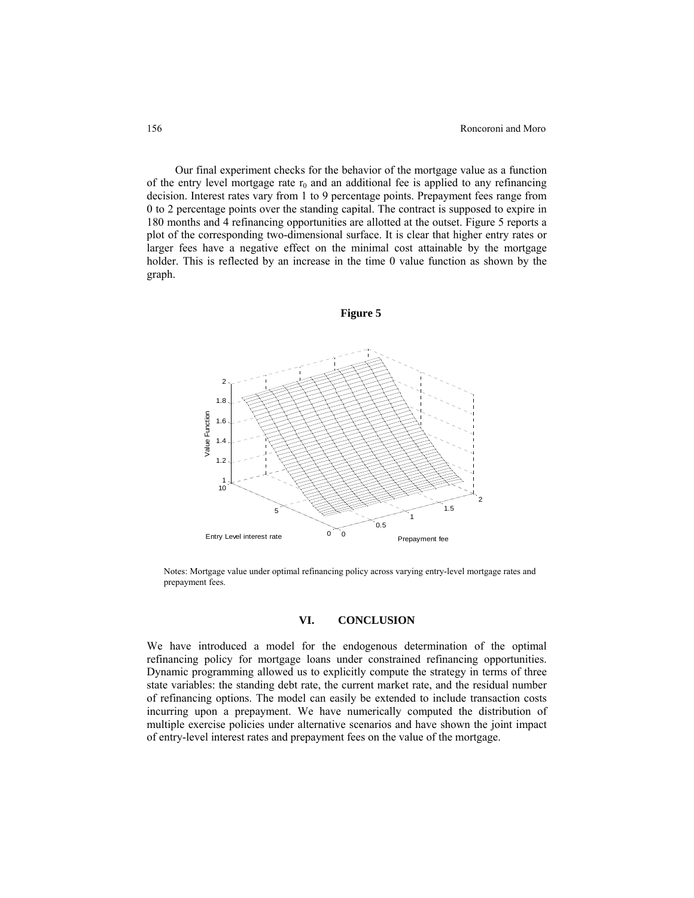Our final experiment checks for the behavior of the mortgage value as a function of the entry level mortgage rate  $r_0$  and an additional fee is applied to any refinancing decision. Interest rates vary from 1 to 9 percentage points. Prepayment fees range from 0 to 2 percentage points over the standing capital. The contract is supposed to expire in 180 months and 4 refinancing opportunities are allotted at the outset. Figure 5 reports a plot of the corresponding two-dimensional surface. It is clear that higher entry rates or larger fees have a negative effect on the minimal cost attainable by the mortgage holder. This is reflected by an increase in the time 0 value function as shown by the graph.



Notes: Mortgage value under optimal refinancing policy across varying entry-level mortgage rates and prepayment fees.

## **VI. CONCLUSION**

We have introduced a model for the endogenous determination of the optimal refinancing policy for mortgage loans under constrained refinancing opportunities. Dynamic programming allowed us to explicitly compute the strategy in terms of three state variables: the standing debt rate, the current market rate, and the residual number of refinancing options. The model can easily be extended to include transaction costs incurring upon a prepayment. We have numerically computed the distribution of multiple exercise policies under alternative scenarios and have shown the joint impact of entry-level interest rates and prepayment fees on the value of the mortgage.